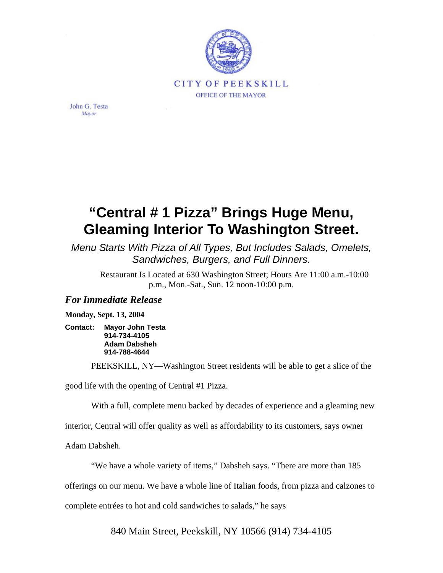

John G. Testa Mayor

## **"Central # 1 Pizza" Brings Huge Menu, Gleaming Interior To Washington Street.**

*Menu Starts With Pizza of All Types, But Includes Salads, Omelets, Sandwiches, Burgers, and Full Dinners.*

Restaurant Is Located at 630 Washington Street; Hours Are 11:00 a.m.-10:00 p.m., Mon.-Sat., Sun. 12 noon-10:00 p.m.

## *For Immediate Release*

**Monday, Sept. 13, 2004** 

**Contact: Mayor John Testa 914-734-4105 Adam Dabsheh 914-788-4644** 

PEEKSKILL, NY—Washington Street residents will be able to get a slice of the

good life with the opening of Central #1 Pizza.

With a full, complete menu backed by decades of experience and a gleaming new

interior, Central will offer quality as well as affordability to its customers, says owner

Adam Dabsheh.

"We have a whole variety of items," Dabsheh says. "There are more than 185

offerings on our menu. We have a whole line of Italian foods, from pizza and calzones to

complete entrées to hot and cold sandwiches to salads," he says

840 Main Street, Peekskill, NY 10566 (914) 734-4105